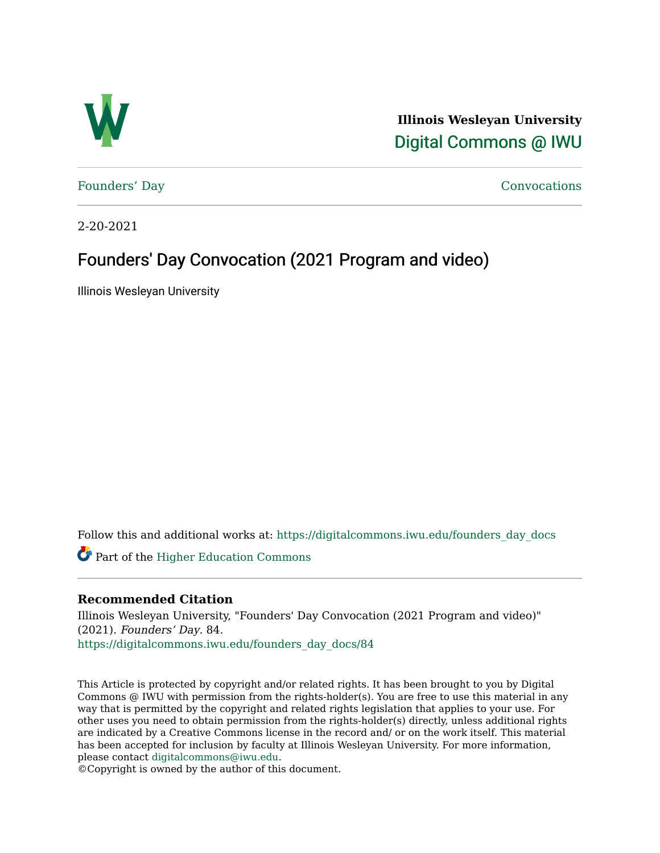

**Illinois Wesleyan University**  [Digital Commons @ IWU](https://digitalcommons.iwu.edu/) 

[Founders' Day](https://digitalcommons.iwu.edu/founders_day_docs) [Convocations](https://digitalcommons.iwu.edu/convocations_docs) 

2-20-2021

## Founders' Day Convocation (2021 Program and video)

Illinois Wesleyan University

Follow this and additional works at: [https://digitalcommons.iwu.edu/founders\\_day\\_docs](https://digitalcommons.iwu.edu/founders_day_docs?utm_source=digitalcommons.iwu.edu%2Ffounders_day_docs%2F84&utm_medium=PDF&utm_campaign=PDFCoverPages) 

Part of the [Higher Education Commons](http://network.bepress.com/hgg/discipline/1245?utm_source=digitalcommons.iwu.edu%2Ffounders_day_docs%2F84&utm_medium=PDF&utm_campaign=PDFCoverPages) 

### **Recommended Citation**

Illinois Wesleyan University, "Founders' Day Convocation (2021 Program and video)" (2021). Founders' Day. 84. [https://digitalcommons.iwu.edu/founders\\_day\\_docs/84](https://digitalcommons.iwu.edu/founders_day_docs/84?utm_source=digitalcommons.iwu.edu%2Ffounders_day_docs%2F84&utm_medium=PDF&utm_campaign=PDFCoverPages)

This Article is protected by copyright and/or related rights. It has been brought to you by Digital Commons @ IWU with permission from the rights-holder(s). You are free to use this material in any way that is permitted by the copyright and related rights legislation that applies to your use. For other uses you need to obtain permission from the rights-holder(s) directly, unless additional rights are indicated by a Creative Commons license in the record and/ or on the work itself. This material has been accepted for inclusion by faculty at Illinois Wesleyan University. For more information, please contact [digitalcommons@iwu.edu.](mailto:digitalcommons@iwu.edu)

©Copyright is owned by the author of this document.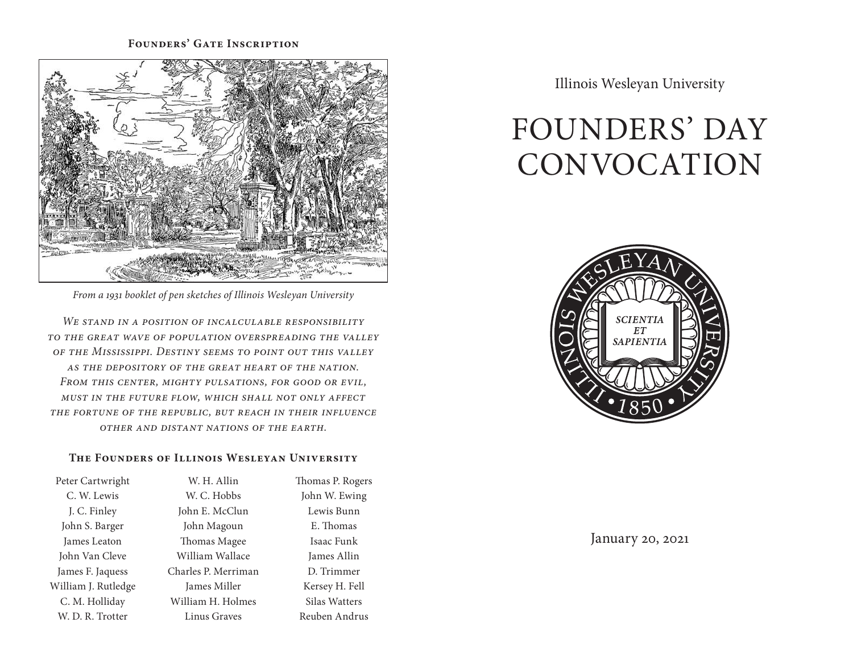### **Founders' Gate Inscription**



*From a 1931 booklet of pen sketches of Illinois Wesleyan University*

*We stand in a position of incalculable responsibility to the great wave of population overspreading the valley of the Mississippi. Destiny seems to point out this valley as the depository of the great heart of the nation. From this center, mighty pulsations, for good or evil, must in the future flow, which shall not only affect the fortune of the republic, but reach in their influence other and distant nations of the earth.*

### **The Founders of Illinois Wesleyan University**

| Peter Cartwright    | W. H. Allin         | Thomas P. Rogers |
|---------------------|---------------------|------------------|
| C. W. Lewis         | W. C. Hobbs         | John W. Ewing    |
| J. C. Finley        | John E. McClun      | Lewis Bunn       |
| John S. Barger      | John Magoun         | E. Thomas        |
| James Leaton        | Thomas Magee        | Isaac Funk       |
| John Van Cleve      | William Wallace     | James Allin      |
| James F. Jaquess    | Charles P. Merriman | D. Trimmer       |
| William J. Rutledge | James Miller        | Kersey H. Fell   |
| C. M. Holliday      | William H. Holmes   | Silas Watters    |
| W. D. R. Trotter    | Linus Graves        | Reuben Andrus    |

Illinois Wesleyan University

# FOUNDERS' DAY CONVOCATION



January 20, 2021